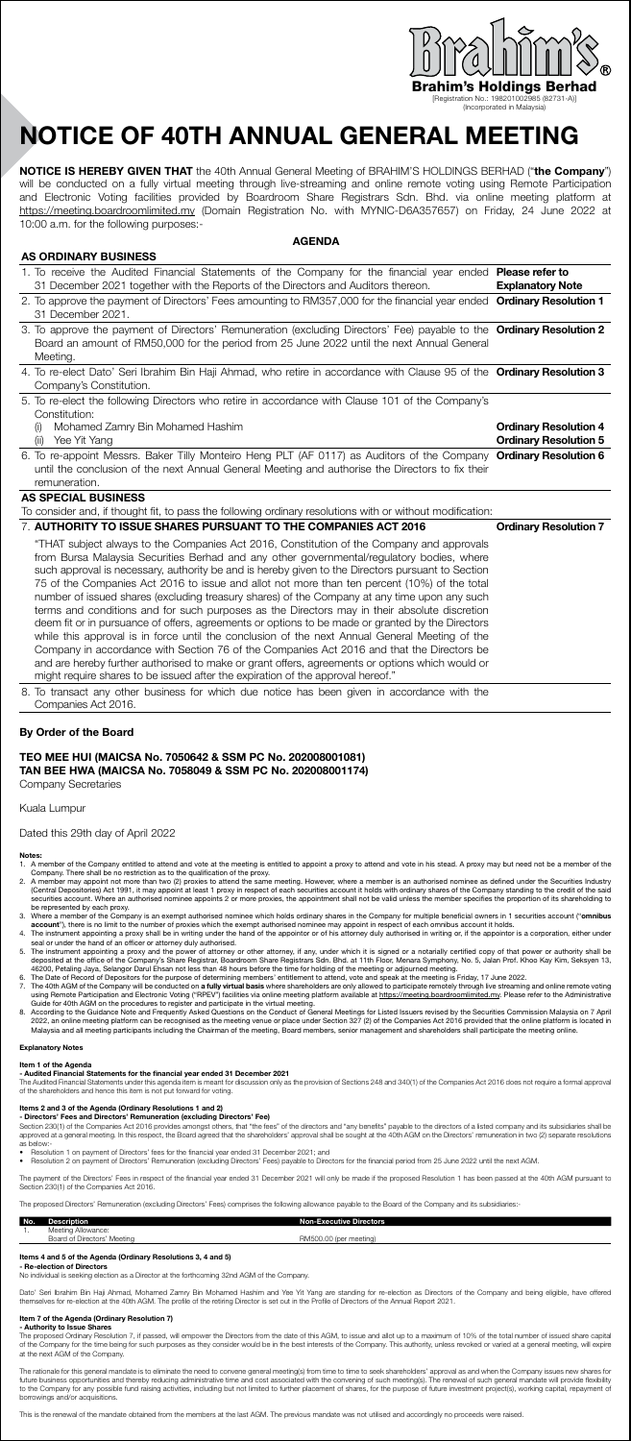

[Registration No.: 198201002985 (82731-A)] (Incorporated in Malaysia)

# NOTICE OF 40th ANNUAL GENERAL MEETING

NOTICE IS HEREBY GIVEN THAT the 40th Annual General Meeting of BRAHIM'S HOLDINGS BERHAD ("the Company") will be conducted on a fully virtual meeting through live-streaming and online remote voting using Remote Participation and Electronic Voting facilities provided by Boardroom Share Registrars Sdn. Bhd. via online meeting platform at https://meeting.boardroomlimited.my (Domain Registration No. with MYNIC-D6A357657) on Friday, 24 June 2022 at 10:00 a.m. for the following purposes:-

#### **AGENDA**

| <b>AS ORDINARY BUSINESS</b>                                                                                                                                                                                                                                                                                                                                                                                                                                                                                                                                                                                                                                                                                                                                                                                                                                                                                                                                                                                                                                                          |                                                              |
|--------------------------------------------------------------------------------------------------------------------------------------------------------------------------------------------------------------------------------------------------------------------------------------------------------------------------------------------------------------------------------------------------------------------------------------------------------------------------------------------------------------------------------------------------------------------------------------------------------------------------------------------------------------------------------------------------------------------------------------------------------------------------------------------------------------------------------------------------------------------------------------------------------------------------------------------------------------------------------------------------------------------------------------------------------------------------------------|--------------------------------------------------------------|
| 1. To receive the Audited Financial Statements of the Company for the financial year ended Please refer to<br>31 December 2021 together with the Reports of the Directors and Auditors thereon.                                                                                                                                                                                                                                                                                                                                                                                                                                                                                                                                                                                                                                                                                                                                                                                                                                                                                      | <b>Explanatory Note</b>                                      |
| 2. To approve the payment of Directors' Fees amounting to RM357,000 for the financial year ended Ordinary Resolution 1<br>31 December 2021.                                                                                                                                                                                                                                                                                                                                                                                                                                                                                                                                                                                                                                                                                                                                                                                                                                                                                                                                          |                                                              |
| 3. To approve the payment of Directors' Remuneration (excluding Directors' Fee) payable to the Ordinary Resolution 2<br>Board an amount of RM50,000 for the period from 25 June 2022 until the next Annual General<br>Meeting.                                                                                                                                                                                                                                                                                                                                                                                                                                                                                                                                                                                                                                                                                                                                                                                                                                                       |                                                              |
| 4. To re-elect Dato' Seri Ibrahim Bin Haji Ahmad, who retire in accordance with Clause 95 of the Ordinary Resolution 3<br>Company's Constitution.                                                                                                                                                                                                                                                                                                                                                                                                                                                                                                                                                                                                                                                                                                                                                                                                                                                                                                                                    |                                                              |
| 5. To re-elect the following Directors who retire in accordance with Clause 101 of the Company's<br>Constitution:                                                                                                                                                                                                                                                                                                                                                                                                                                                                                                                                                                                                                                                                                                                                                                                                                                                                                                                                                                    |                                                              |
| Mohamed Zamry Bin Mohamed Hashim<br>(i)<br>Yee Yit Yang<br>(ii)                                                                                                                                                                                                                                                                                                                                                                                                                                                                                                                                                                                                                                                                                                                                                                                                                                                                                                                                                                                                                      | <b>Ordinary Resolution 4</b><br><b>Ordinary Resolution 5</b> |
| 6. To re-appoint Messrs. Baker Tilly Monteiro Heng PLT (AF 0117) as Auditors of the Company Ordinary Resolution 6<br>until the conclusion of the next Annual General Meeting and authorise the Directors to fix their<br>remuneration.                                                                                                                                                                                                                                                                                                                                                                                                                                                                                                                                                                                                                                                                                                                                                                                                                                               |                                                              |
| <b>AS SPECIAL BUSINESS</b>                                                                                                                                                                                                                                                                                                                                                                                                                                                                                                                                                                                                                                                                                                                                                                                                                                                                                                                                                                                                                                                           |                                                              |
| To consider and, if thought fit, to pass the following ordinary resolutions with or without modification:                                                                                                                                                                                                                                                                                                                                                                                                                                                                                                                                                                                                                                                                                                                                                                                                                                                                                                                                                                            |                                                              |
| 7. AUTHORITY TO ISSUE SHARES PURSUANT TO THE COMPANIES ACT 2016                                                                                                                                                                                                                                                                                                                                                                                                                                                                                                                                                                                                                                                                                                                                                                                                                                                                                                                                                                                                                      | <b>Ordinary Resolution 7</b>                                 |
| "THAT subject always to the Companies Act 2016, Constitution of the Company and approvals<br>from Bursa Malaysia Securities Berhad and any other governmental/regulatory bodies, where<br>such approval is necessary, authority be and is hereby given to the Directors pursuant to Section<br>75 of the Companies Act 2016 to issue and allot not more than ten percent (10%) of the total<br>number of issued shares (excluding treasury shares) of the Company at any time upon any such<br>terms and conditions and for such purposes as the Directors may in their absolute discretion<br>deem fit or in pursuance of offers, agreements or options to be made or granted by the Directors<br>while this approval is in force until the conclusion of the next Annual General Meeting of the<br>Company in accordance with Section 76 of the Companies Act 2016 and that the Directors be<br>and are hereby further authorised to make or grant offers, agreements or options which would or<br>might require shares to be issued after the expiration of the approval hereof." |                                                              |
| 8. To transact any other business for which due notice has been given in accordance with the<br>Companies Act 2016.                                                                                                                                                                                                                                                                                                                                                                                                                                                                                                                                                                                                                                                                                                                                                                                                                                                                                                                                                                  |                                                              |

#### By Order of the Board

#### TEO MEE HUI (MAICSA No. 7050642 & SSM PC No. 202008001081) TAN BEE HWA (MAICSA No. 7058049 & SSM PC No. 202008001174) Company Secretaries

#### Kuala Lumpur

#### Dated this 29th day of April 2022

- **Notes:**<br>1. A member of the Company entitled to attend and vote at the meeting is entitled to appoint a proxy to attend and vote in his stead. A proxy may but need not be a member of the<br>Company. There shall be no restrict
- 
- 
- 
- 
- 2. A member may appoint not more than two (2) proxis to attend the same meeting. However, where a authroised nomine as defined under the Securities account. Where a mathorise In the Securities account tholds with ordinary
- 

#### ory No

# m 1 of the Agenda<br>udited Financial Statem

**- Audited Financial Statements for the financial year ended 31 December 2021**<br>The Audited Financial Statements under this agenda item is meant for discussion only as the provision of Sections 248 and 340(1) of the Compani

- **Items 2 and 3 of the Agenda (Ordinary Resolutions 1 and 2)**<br> **Directors' Fees and Directors' Remuneration (excluding Directors' Fee)**<br>Section 230/1) of the Companies Act 2016 provides amongst others, that "the fees" of t
- 
- as below:-<br>● Resolution 1 on payment of Directors' fees for the financial year ended 31 December 2021; and<br>● Resolution 2 on payment of Directors' Remuneration (excluding Directors' Fees) payable to Directors for the fina
- The payment of the Directors' Fees in respect of the financial year ended 31 December 2021 will only be made if the proposed Resolution 1 has been passed at the 40th AGM pursuant to Section 230(1) of the Companies Act 2016.

The proposed Directors' Remuneration (excluding Directors' Fees) comprises the following allowance payable to the Board of the Company and its subsidiaries:-

## No. Description **Non-Executive Directors**

1. Meeting Allowance: Board of Directors' Meeting RM500.00 (per meeting)

### Items 4 and 5 of the Agenda (Ordinary Resolutions 3, 4 and 5) - Re-election of Directors

No individual is seeking election as a Director at the forthcoming 32nd AGM of the Company.

Dato' Seri Ibrahim Bin Haji Ahmad, Mohamed Zamry Bin Mohamed Hashim and Yee Yit Yang are standing for re-election as Directors of the Company and being eligible, have offered<br>themselves for re-election at the 40th AGM. The

**Item 7 of the Agenda (Ordinary Resolution 7)**<br>- Authority to Issue Shares<br>The proposed Ordinary Resolution 7, if passed, will empower the Directors from the date of this AGM, to issue and allot up to a maximum of 10% of t

The rationale for this general mandate is to eliminate the need to convene general meeting(s) from time to time to seek shareholders' approval as and when the Company issues new shares for<br>future business opportunities and

This is the renewal of the mandate obtained from the members at the last AGM. The previous mandate was not utilised and accordingly no proceeds were raised.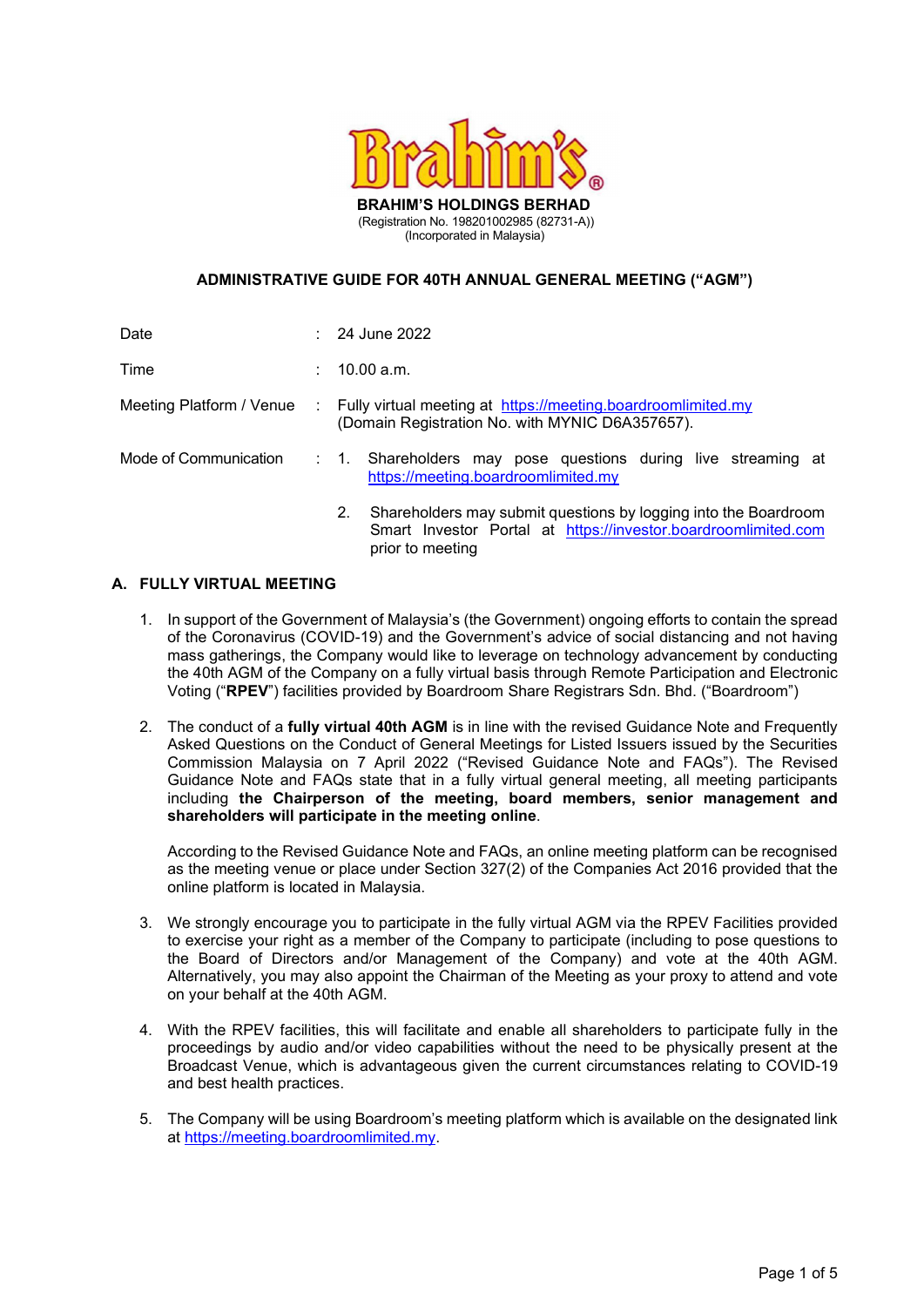

#### ADMINISTRATIVE GUIDE FOR 40TH ANNUAL GENERAL MEETING ("AGM")

| Date                     | $: 24$ June 2022                                                                                                                                            |
|--------------------------|-------------------------------------------------------------------------------------------------------------------------------------------------------------|
| Time                     | 10.00 a.m.                                                                                                                                                  |
| Meeting Platform / Venue | : Fully virtual meeting at https://meeting.boardroomlimited.my<br>(Domain Registration No. with MYNIC D6A357657).                                           |
| Mode of Communication    | : 1. Shareholders may pose questions during live streaming at<br>https://meeting.boardroomlimited.my                                                        |
|                          | Shareholders may submit questions by logging into the Boardroom<br>2.<br>Smart Investor Portal at https://investor.boardroomlimited.com<br>prior to meeting |

#### A. FULLY VIRTUAL MEETING

- 1. In support of the Government of Malaysia's (the Government) ongoing efforts to contain the spread of the Coronavirus (COVID-19) and the Government's advice of social distancing and not having mass gatherings, the Company would like to leverage on technology advancement by conducting the 40th AGM of the Company on a fully virtual basis through Remote Participation and Electronic Voting ("RPEV") facilities provided by Boardroom Share Registrars Sdn. Bhd. ("Boardroom")
- 2. The conduct of a fully virtual 40th AGM is in line with the revised Guidance Note and Frequently Asked Questions on the Conduct of General Meetings for Listed Issuers issued by the Securities Commission Malaysia on 7 April 2022 ("Revised Guidance Note and FAQs"). The Revised Guidance Note and FAQs state that in a fully virtual general meeting, all meeting participants including the Chairperson of the meeting, board members, senior management and shareholders will participate in the meeting online.

According to the Revised Guidance Note and FAQs, an online meeting platform can be recognised as the meeting venue or place under Section 327(2) of the Companies Act 2016 provided that the online platform is located in Malaysia.

- 3. We strongly encourage you to participate in the fully virtual AGM via the RPEV Facilities provided to exercise your right as a member of the Company to participate (including to pose questions to the Board of Directors and/or Management of the Company) and vote at the 40th AGM. Alternatively, you may also appoint the Chairman of the Meeting as your proxy to attend and vote on your behalf at the 40th AGM.
- 4. With the RPEV facilities, this will facilitate and enable all shareholders to participate fully in the proceedings by audio and/or video capabilities without the need to be physically present at the Broadcast Venue, which is advantageous given the current circumstances relating to COVID-19 and best health practices.
- 5. The Company will be using Boardroom's meeting platform which is available on the designated link at https://meeting.boardroomlimited.my.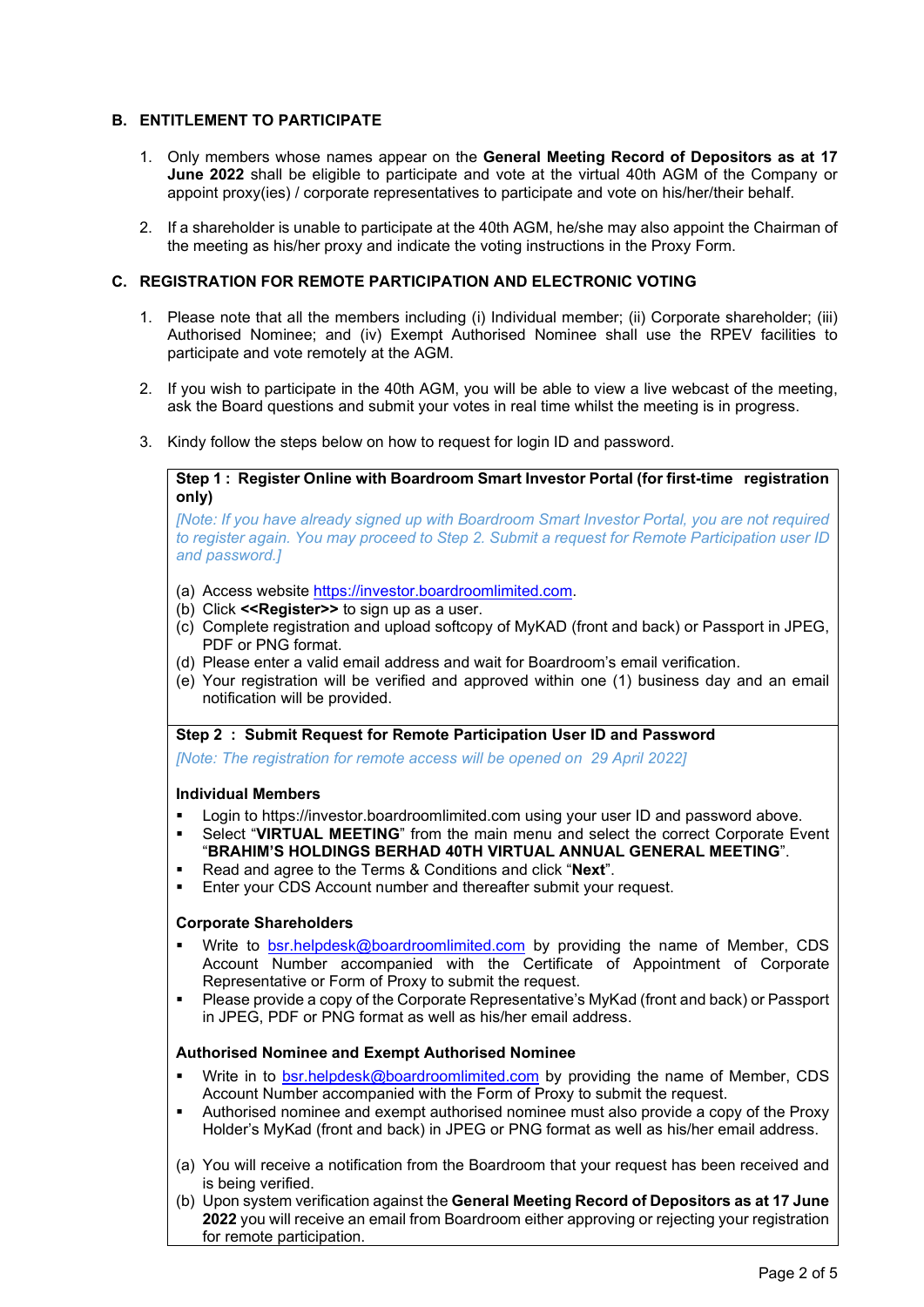#### B. ENTITLEMENT TO PARTICIPATE

- 1. Only members whose names appear on the General Meeting Record of Depositors as at 17 June 2022 shall be eligible to participate and vote at the virtual 40th AGM of the Company or appoint proxy(ies) / corporate representatives to participate and vote on his/her/their behalf.
- 2. If a shareholder is unable to participate at the 40th AGM, he/she may also appoint the Chairman of the meeting as his/her proxy and indicate the voting instructions in the Proxy Form.

### C. REGISTRATION FOR REMOTE PARTICIPATION AND ELECTRONIC VOTING

- 1. Please note that all the members including (i) Individual member; (ii) Corporate shareholder; (iii) Authorised Nominee; and (iv) Exempt Authorised Nominee shall use the RPEV facilities to participate and vote remotely at the AGM.
- 2. If you wish to participate in the 40th AGM, you will be able to view a live webcast of the meeting, ask the Board questions and submit your votes in real time whilst the meeting is in progress.
- 3. Kindy follow the steps below on how to request for login ID and password.

Step 1 : Register Online with Boardroom Smart Investor Portal (for first-time registration only)

 [Note: If you have already signed up with Boardroom Smart Investor Portal, you are not required to register again. You may proceed to Step 2. Submit a request for Remote Participation user ID and password.]

- (a) Access website https://investor.boardroomlimited.com.
- (b) Click  $\leq$ Register  $\geq$  to sign up as a user.
- (c) Complete registration and upload softcopy of MyKAD (front and back) or Passport in JPEG, PDF or PNG format.
- (d) Please enter a valid email address and wait for Boardroom's email verification.
- (e) Your registration will be verified and approved within one (1) business day and an email notification will be provided.

Step 2 : Submit Request for Remote Participation User ID and Password

[Note: The registration for remote access will be opened on 29 April 2022]

#### Individual Members

- **EXECT** Login to https://investor.boardroomlimited.com using your user ID and password above.
- Select "VIRTUAL MEETING" from the main menu and select the correct Corporate Event "BRAHIM'S HOLDINGS BERHAD 40TH VIRTUAL ANNUAL GENERAL MEETING".
- Read and agree to the Terms & Conditions and click "Next".
- Enter your CDS Account number and thereafter submit your request.

#### Corporate Shareholders

- Write to bsr.helpdesk@boardroomlimited.com by providing the name of Member, CDS Account Number accompanied with the Certificate of Appointment of Corporate Representative or Form of Proxy to submit the request.
- Please provide a copy of the Corporate Representative's MyKad (front and back) or Passport in JPEG, PDF or PNG format as well as his/her email address.

#### Authorised Nominee and Exempt Authorised Nominee

- Write in to bsr.helpdesk@boardroomlimited.com by providing the name of Member, CDS Account Number accompanied with the Form of Proxy to submit the request.
- Authorised nominee and exempt authorised nominee must also provide a copy of the Proxy Holder's MyKad (front and back) in JPEG or PNG format as well as his/her email address.
- (a) You will receive a notification from the Boardroom that your request has been received and is being verified.
- (b) Upon system verification against the General Meeting Record of Depositors as at 17 June 2022 you will receive an email from Boardroom either approving or rejecting your registration for remote participation.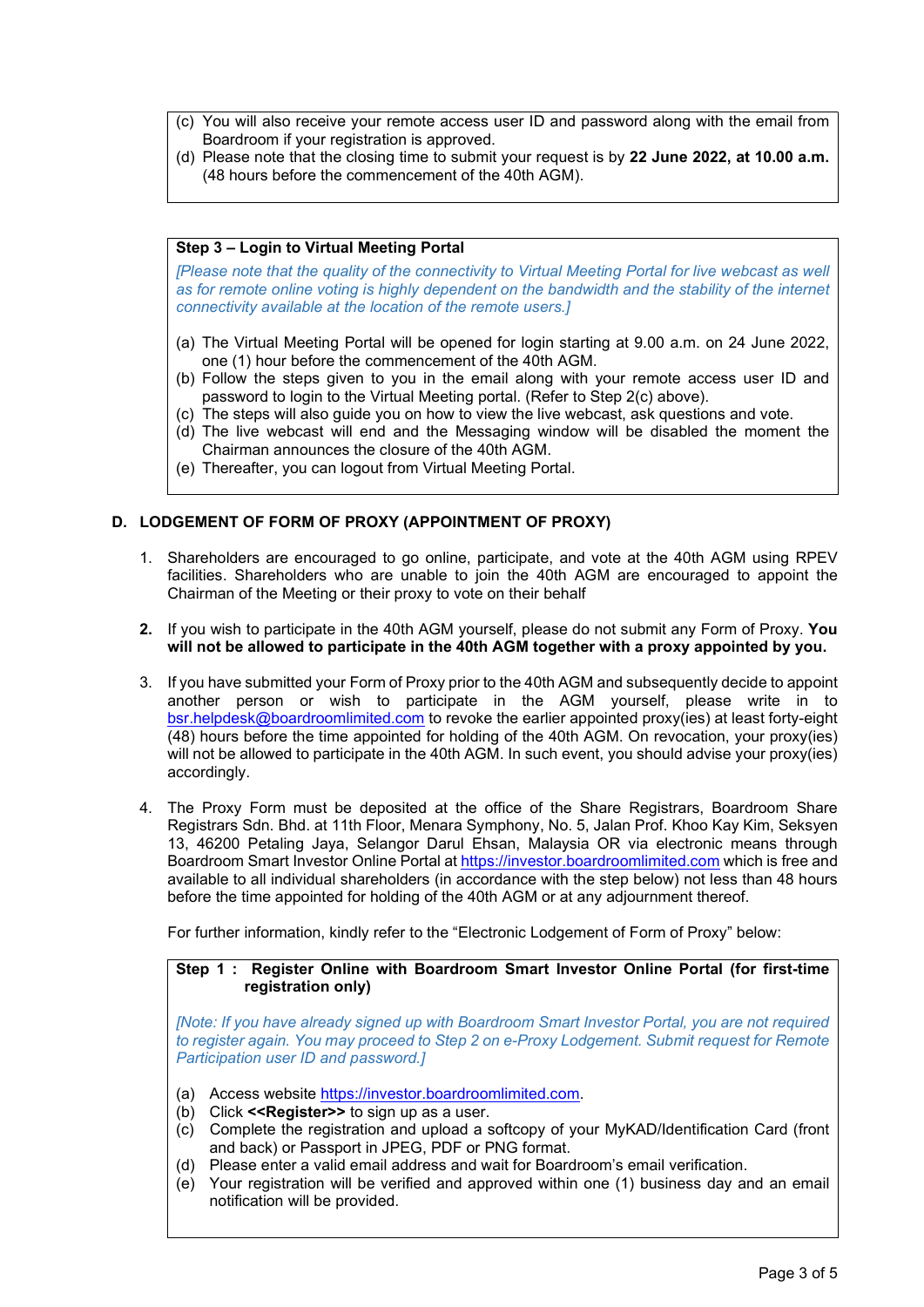- (c) You will also receive your remote access user ID and password along with the email from Boardroom if your registration is approved.
- (d) Please note that the closing time to submit your request is by 22 June 2022, at 10.00 a.m. (48 hours before the commencement of the 40th AGM).

#### Step 3 – Login to Virtual Meeting Portal

[Please note that the quality of the connectivity to Virtual Meeting Portal for live webcast as well as for remote online voting is highly dependent on the bandwidth and the stability of the internet connectivity available at the location of the remote users.]

- (a) The Virtual Meeting Portal will be opened for login starting at 9.00 a.m. on 24 June 2022, one (1) hour before the commencement of the 40th AGM.
- (b) Follow the steps given to you in the email along with your remote access user ID and password to login to the Virtual Meeting portal. (Refer to Step 2(c) above).
- (c) The steps will also guide you on how to view the live webcast, ask questions and vote.
- (d) The live webcast will end and the Messaging window will be disabled the moment the Chairman announces the closure of the 40th AGM.
- (e) Thereafter, you can logout from Virtual Meeting Portal.

#### D. LODGEMENT OF FORM OF PROXY (APPOINTMENT OF PROXY)

- 1. Shareholders are encouraged to go online, participate, and vote at the 40th AGM using RPEV facilities. Shareholders who are unable to join the 40th AGM are encouraged to appoint the Chairman of the Meeting or their proxy to vote on their behalf
- 2. If you wish to participate in the 40th AGM yourself, please do not submit any Form of Proxy. You will not be allowed to participate in the 40th AGM together with a proxy appointed by you.
- 3. If you have submitted your Form of Proxy prior to the 40th AGM and subsequently decide to appoint another person or wish to participate in the AGM yourself, please write in to bsr.helpdesk@boardroomlimited.com to revoke the earlier appointed proxy(ies) at least forty-eight (48) hours before the time appointed for holding of the 40th AGM. On revocation, your proxy(ies) will not be allowed to participate in the 40th AGM. In such event, you should advise your proxy(ies) accordingly.
- 4. The Proxy Form must be deposited at the office of the Share Registrars, Boardroom Share Registrars Sdn. Bhd. at 11th Floor, Menara Symphony, No. 5, Jalan Prof. Khoo Kay Kim, Seksyen 13, 46200 Petaling Jaya, Selangor Darul Ehsan, Malaysia OR via electronic means through Boardroom Smart Investor Online Portal at https://investor.boardroomlimited.com which is free and available to all individual shareholders (in accordance with the step below) not less than 48 hours before the time appointed for holding of the 40th AGM or at any adjournment thereof.

For further information, kindly refer to the "Electronic Lodgement of Form of Proxy" below:

### Step 1 : Register Online with Boardroom Smart Investor Online Portal (for first-time registration only)

[Note: If you have already signed up with Boardroom Smart Investor Portal, you are not required to register again. You may proceed to Step 2 on e-Proxy Lodgement. Submit request for Remote Participation user ID and password.]

- (a) Access website https://investor.boardroomlimited.com.
- (b) Click <<Register>> to sign up as a user.
- (c) Complete the registration and upload a softcopy of your MyKAD/Identification Card (front and back) or Passport in JPEG, PDF or PNG format.
- (d) Please enter a valid email address and wait for Boardroom's email verification.
- (e) Your registration will be verified and approved within one (1) business day and an email notification will be provided.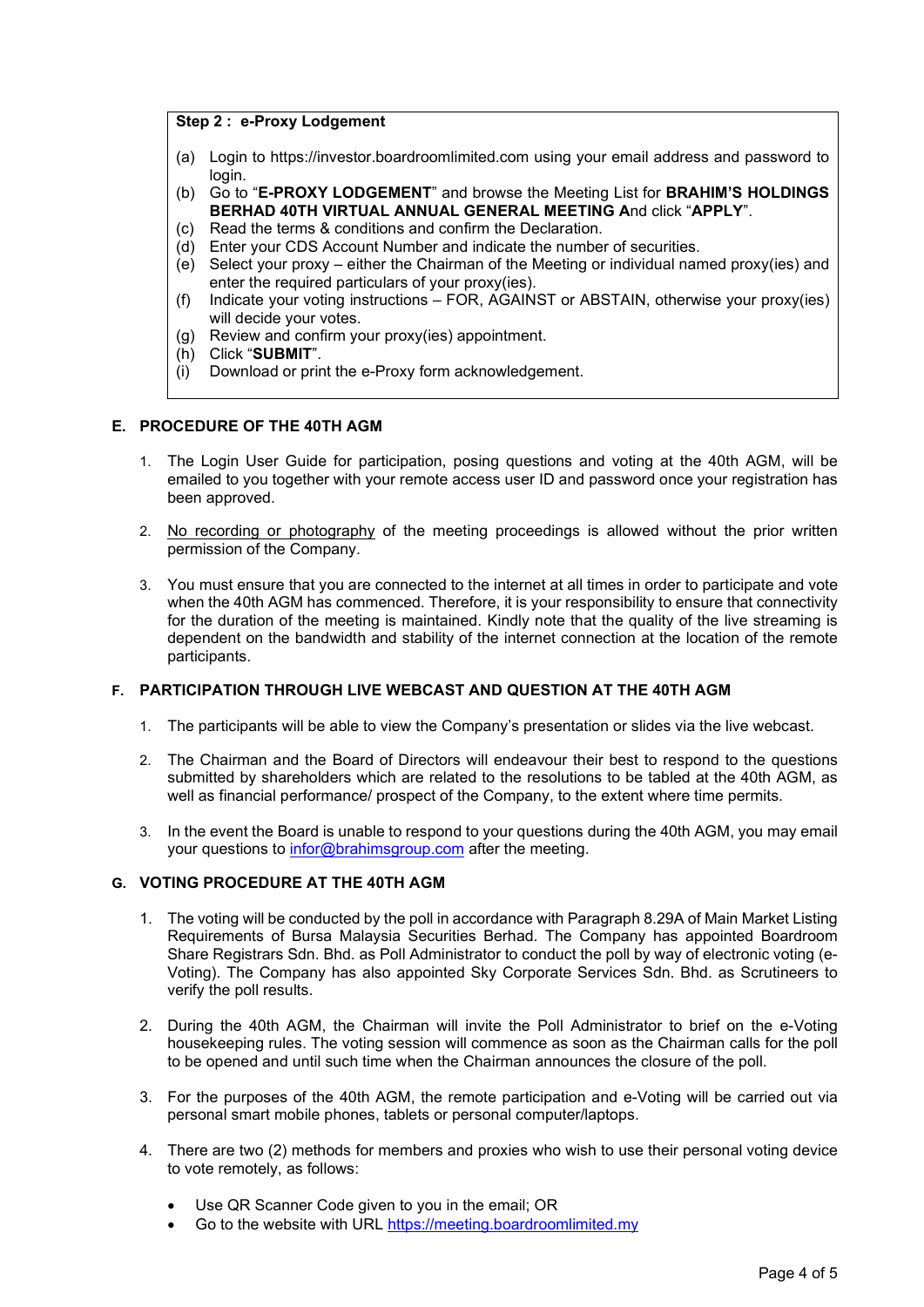#### Step 2 : e-Proxy Lodgement

- (a) Login to https://investor.boardroomlimited.com using your email address and password to login.
- (b) Go to "E-PROXY LODGEMENT" and browse the Meeting List for BRAHIM'S HOLDINGS BERHAD 40TH VIRTUAL ANNUAL GENERAL MEETING And click "APPLY".
- (c) Read the terms & conditions and confirm the Declaration.
- (d) Enter your CDS Account Number and indicate the number of securities.
- (e) Select your proxy either the Chairman of the Meeting or individual named proxy(ies) and enter the required particulars of your proxy(ies).
- (f) Indicate your voting instructions FOR, AGAINST or ABSTAIN, otherwise your proxy(ies) will decide your votes.
- (g) Review and confirm your proxy(ies) appointment.
- (h) Click "SUBMIT".
- (i) Download or print the e-Proxy form acknowledgement.

#### E. PROCEDURE OF THE 40TH AGM

- 1. The Login User Guide for participation, posing questions and voting at the 40th AGM, will be emailed to you together with your remote access user ID and password once your registration has been approved.
- 2. No recording or photography of the meeting proceedings is allowed without the prior written permission of the Company.
- 3. You must ensure that you are connected to the internet at all times in order to participate and vote when the 40th AGM has commenced. Therefore, it is your responsibility to ensure that connectivity for the duration of the meeting is maintained. Kindly note that the quality of the live streaming is dependent on the bandwidth and stability of the internet connection at the location of the remote participants.

### F. PARTICIPATION THROUGH LIVE WEBCAST AND QUESTION AT THE 40TH AGM

- 1. The participants will be able to view the Company's presentation or slides via the live webcast.
- 2. The Chairman and the Board of Directors will endeavour their best to respond to the questions submitted by shareholders which are related to the resolutions to be tabled at the 40th AGM, as well as financial performance/ prospect of the Company, to the extent where time permits.
- 3. In the event the Board is unable to respond to your questions during the 40th AGM, you may email your questions to infor@brahimsgroup.com after the meeting.

#### G. VOTING PROCEDURE AT THE 40TH AGM

- 1. The voting will be conducted by the poll in accordance with Paragraph 8.29A of Main Market Listing Requirements of Bursa Malaysia Securities Berhad. The Company has appointed Boardroom Share Registrars Sdn. Bhd. as Poll Administrator to conduct the poll by way of electronic voting (e-Voting). The Company has also appointed Sky Corporate Services Sdn. Bhd. as Scrutineers to verify the poll results.
- 2. During the 40th AGM, the Chairman will invite the Poll Administrator to brief on the e-Voting housekeeping rules. The voting session will commence as soon as the Chairman calls for the poll to be opened and until such time when the Chairman announces the closure of the poll.
- 3. For the purposes of the 40th AGM, the remote participation and e-Voting will be carried out via personal smart mobile phones, tablets or personal computer/laptops.
- 4. There are two (2) methods for members and proxies who wish to use their personal voting device to vote remotely, as follows:
	- Use QR Scanner Code given to you in the email; OR
	- Go to the website with URL https://meeting.boardroomlimited.my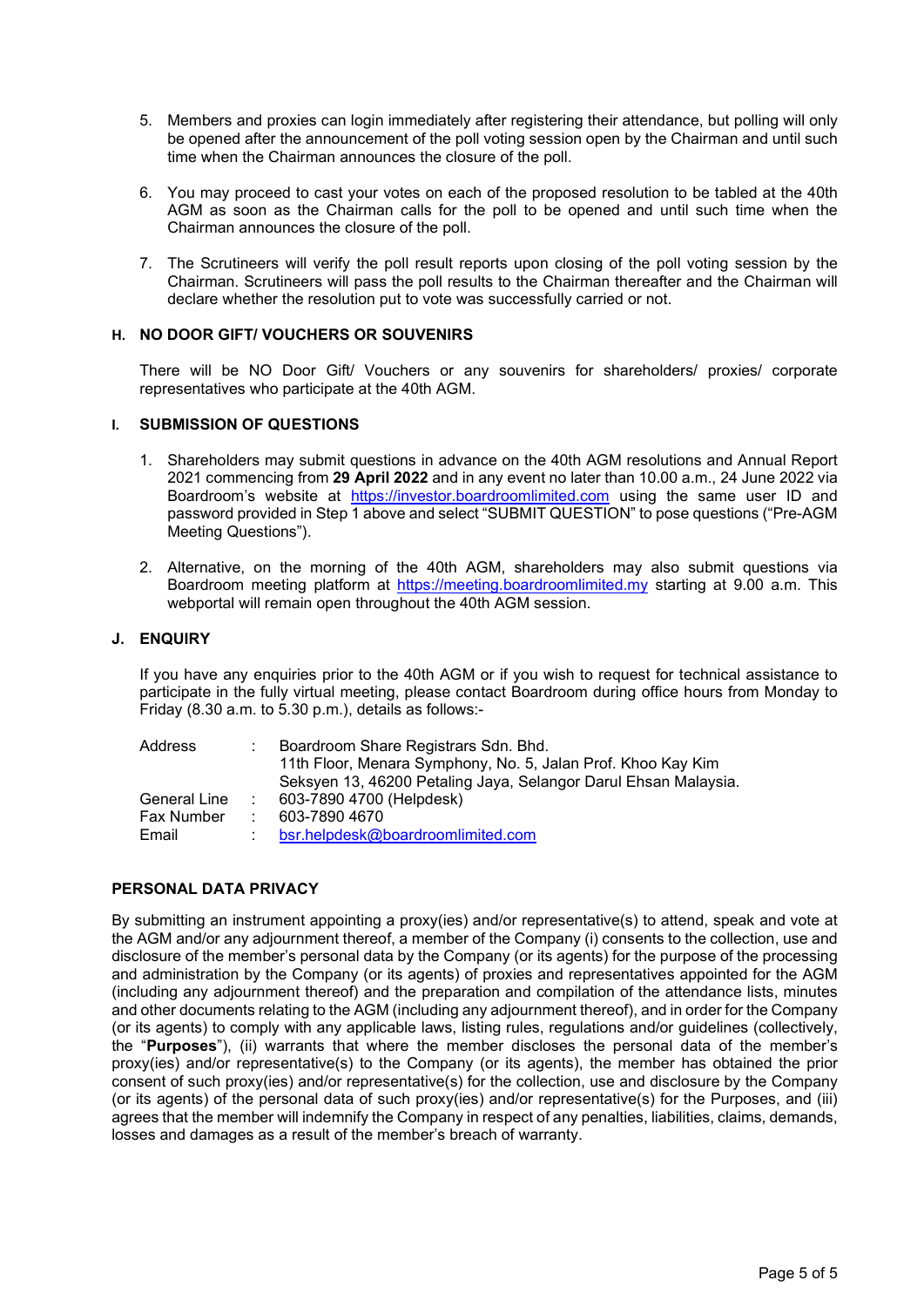- 5. Members and proxies can login immediately after registering their attendance, but polling will only be opened after the announcement of the poll voting session open by the Chairman and until such time when the Chairman announces the closure of the poll.
- 6. You may proceed to cast your votes on each of the proposed resolution to be tabled at the 40th AGM as soon as the Chairman calls for the poll to be opened and until such time when the Chairman announces the closure of the poll.
- 7. The Scrutineers will verify the poll result reports upon closing of the poll voting session by the Chairman. Scrutineers will pass the poll results to the Chairman thereafter and the Chairman will declare whether the resolution put to vote was successfully carried or not.

#### H. NO DOOR GIFT/ VOUCHERS OR SOUVENIRS

There will be NO Door Gift/ Vouchers or any souvenirs for shareholders/ proxies/ corporate representatives who participate at the 40th AGM.

#### I. SUBMISSION OF QUESTIONS

- 1. Shareholders may submit questions in advance on the 40th AGM resolutions and Annual Report 2021 commencing from 29 April 2022 and in any event no later than 10.00 a.m., 24 June 2022 via Boardroom's website at https://investor.boardroomlimited.com using the same user ID and password provided in Step 1 above and select "SUBMIT QUESTION" to pose questions ("Pre-AGM Meeting Questions").
- 2. Alternative, on the morning of the 40th AGM, shareholders may also submit questions via Boardroom meeting platform at https://meeting.boardroomlimited.my starting at 9.00 a.m. This webportal will remain open throughout the 40th AGM session.

#### J. ENQUIRY

If you have any enquiries prior to the 40th AGM or if you wish to request for technical assistance to participate in the fully virtual meeting, please contact Boardroom during office hours from Monday to Friday (8.30 a.m. to 5.30 p.m.), details as follows:-

| Address      | Boardroom Share Registrars Sdn. Bhd.                            |
|--------------|-----------------------------------------------------------------|
|              | 11th Floor, Menara Symphony, No. 5, Jalan Prof. Khoo Kay Kim    |
|              | Seksyen 13, 46200 Petaling Jaya, Selangor Darul Ehsan Malaysia. |
| General Line | 603-7890 4700 (Helpdesk)                                        |
| Fax Number   | 603-7890 4670                                                   |
| Email        | bsr.helpdesk@boardroomlimited.com                               |

#### PERSONAL DATA PRIVACY

By submitting an instrument appointing a proxy(ies) and/or representative(s) to attend, speak and vote at the AGM and/or any adjournment thereof, a member of the Company (i) consents to the collection, use and disclosure of the member's personal data by the Company (or its agents) for the purpose of the processing and administration by the Company (or its agents) of proxies and representatives appointed for the AGM (including any adjournment thereof) and the preparation and compilation of the attendance lists, minutes and other documents relating to the AGM (including any adjournment thereof), and in order for the Company (or its agents) to comply with any applicable laws, listing rules, regulations and/or guidelines (collectively, the "Purposes"), (ii) warrants that where the member discloses the personal data of the member's proxy(ies) and/or representative(s) to the Company (or its agents), the member has obtained the prior consent of such proxy(ies) and/or representative(s) for the collection, use and disclosure by the Company (or its agents) of the personal data of such proxy(ies) and/or representative(s) for the Purposes, and (iii) agrees that the member will indemnify the Company in respect of any penalties, liabilities, claims, demands, losses and damages as a result of the member's breach of warranty.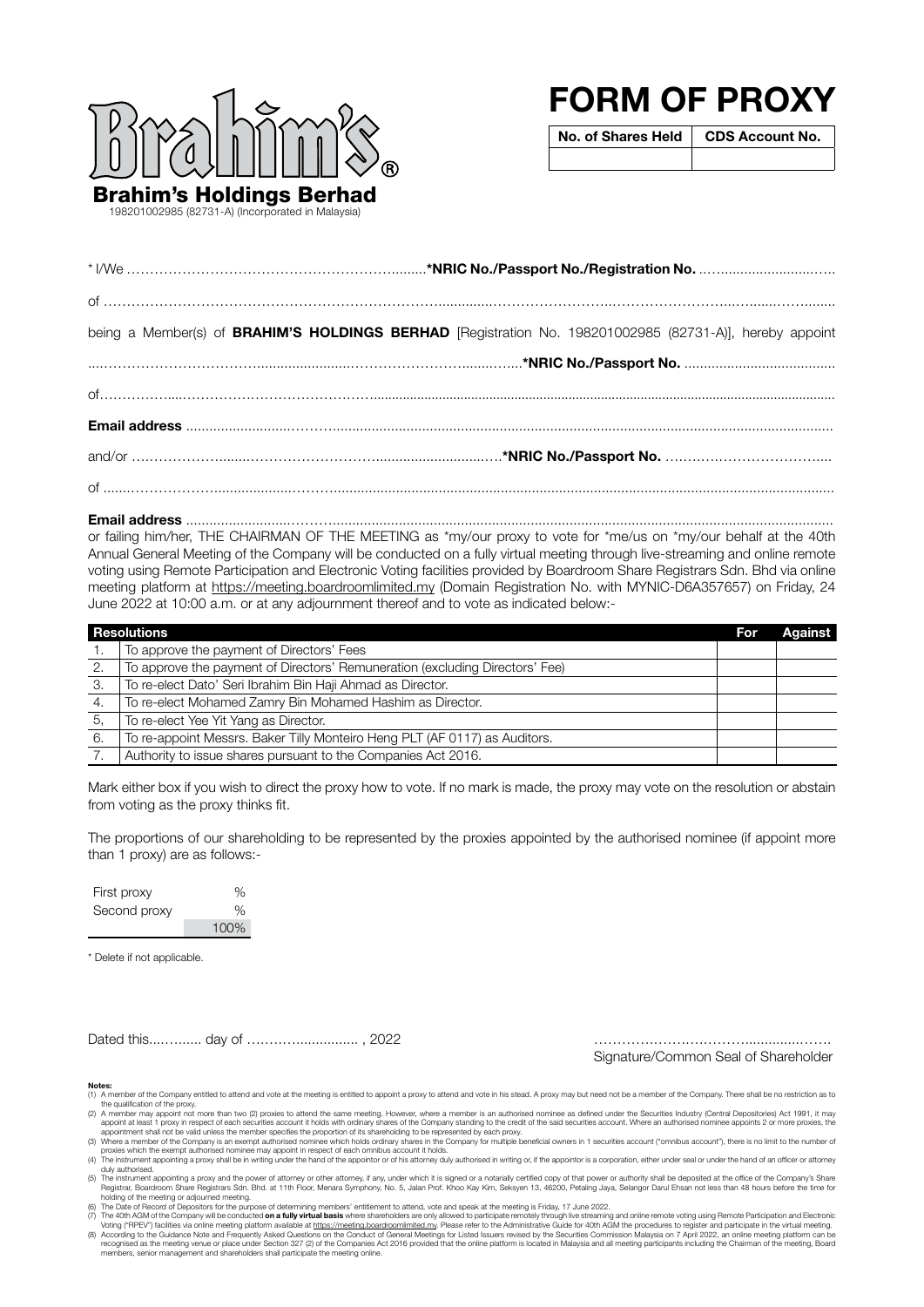

198201002985 (82731-A) (Incorporated in Malaysia)

# FORM OF PROXY

No. of Shares Held | CDS Account No.

| being a Member(s) of BRAHIM'S HOLDINGS BERHAD [Registration No. 198201002985 (82731-A)], hereby appoint |  |  |  |
|---------------------------------------------------------------------------------------------------------|--|--|--|
|                                                                                                         |  |  |  |
|                                                                                                         |  |  |  |
|                                                                                                         |  |  |  |
|                                                                                                         |  |  |  |
|                                                                                                         |  |  |  |

Email address ...........................………................................................................................................................................. or failing him/her, THE CHAIRMAN OF THE MEETING as \*my/our proxy to vote for \*me/us on \*my/our behalf at the 40th Annual General Meeting of the Company will be conducted on a fully virtual meeting through live-streaming and online remote voting using Remote Participation and Electronic Voting facilities provided by Boardroom Share Registrars Sdn. Bhd via online meeting platform at https://meeting.boardroomlimited.my (Domain Registration No. with MYNIC-D6A357657) on Friday, 24 June 2022 at 10:00 a.m. or at any adjournment thereof and to vote as indicated below:-

|    | <b>Resolutions</b>                                                           | For | <b>Against</b> |
|----|------------------------------------------------------------------------------|-----|----------------|
|    | To approve the payment of Directors' Fees                                    |     |                |
| 2. | To approve the payment of Directors' Remuneration (excluding Directors' Fee) |     |                |
| З. | To re-elect Dato' Seri Ibrahim Bin Haji Ahmad as Director.                   |     |                |
| 4. | To re-elect Mohamed Zamry Bin Mohamed Hashim as Director.                    |     |                |
| 5. | To re-elect Yee Yit Yang as Director.                                        |     |                |
| 6. | To re-appoint Messrs. Baker Tilly Monteiro Heng PLT (AF 0117) as Auditors.   |     |                |
|    | Authority to issue shares pursuant to the Companies Act 2016.                |     |                |

Mark either box if you wish to direct the proxy how to vote. If no mark is made, the proxy may vote on the resolution or abstain from voting as the proxy thinks fit.

The proportions of our shareholding to be represented by the proxies appointed by the authorised nominee (if appoint more than 1 proxy) are as follows:-

| First proxy  | %    |
|--------------|------|
| Second proxy | $\%$ |
|              | 100% |

\* Delete if not applicable.

Dated this....…...... day of ….….…................ , 2022 ………….…….….………..............…….

Signature/Common Seal of Shareholder

#### Notes:

The A member of the Company entitled to attend and vote at the meeting is entitled to appoint a proxy to attend and vote in his stead. A proxy may but need not be a member of the Company. There shall be no restriction as t

the qualification of the proxy.<br>(2) A member may appoint not more than two (2) proxies to attend the same meeting. However, where a member is an authorised nominee as defined under the Securities Industry (Central Deposito

duy authorised.<br>
For Free-Proposition a proxy and the power of attorney or other attorney, if any, under which it is signed or a notarially certified copy of that power or authority shall be deposited at the office of the

recognised as the meeting venue or place under Section 327 (2) of the Companies Act 2016 provided that the online platform is located in Malaysia and all meeting participants including the Chairman of the meeting, Board<br>me